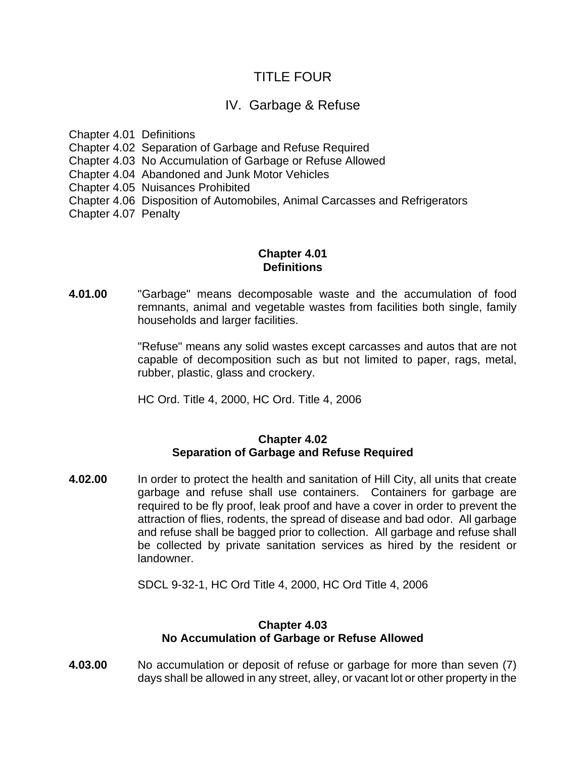# TITLE FOUR

# IV. Garbage & Refuse

Chapter 4.01 Definitions

Chapter 4.02 Separation of Garbage and Refuse Required

Chapter 4.03 No Accumulation of Garbage or Refuse Allowed

Chapter 4.04 Abandoned and Junk Motor Vehicles

Chapter 4.05 Nuisances Prohibited

Chapter 4.06 Disposition of Automobiles, Animal Carcasses and Refrigerators

Chapter 4.07 Penalty

### **Chapter 4.01 Definitions**

**4.01.00** "Garbage" means decomposable waste and the accumulation of food remnants, animal and vegetable wastes from facilities both single, family households and larger facilities.

> "Refuse" means any solid wastes except carcasses and autos that are not capable of decomposition such as but not limited to paper, rags, metal, rubber, plastic, glass and crockery.

HC Ord. Title 4, 2000, HC Ord. Title 4, 2006

#### **Chapter 4.02 Separation of Garbage and Refuse Required**

**4.02.00** In order to protect the health and sanitation of Hill City, all units that create garbage and refuse shall use containers. Containers for garbage are required to be fly proof, leak proof and have a cover in order to prevent the attraction of flies, rodents, the spread of disease and bad odor. All garbage and refuse shall be bagged prior to collection. All garbage and refuse shall be collected by private sanitation services as hired by the resident or landowner.

SDCL 9-32-1, HC Ord Title 4, 2000, HC Ord Title 4, 2006

## **Chapter 4.03 No Accumulation of Garbage or Refuse Allowed**

**4.03.00** No accumulation or deposit of refuse or garbage for more than seven (7) days shall be allowed in any street, alley, or vacant lot or other property in the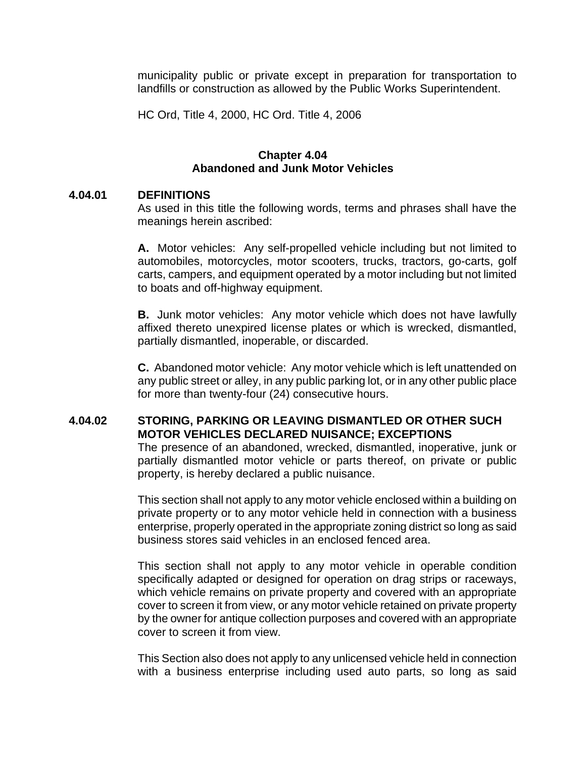municipality public or private except in preparation for transportation to landfills or construction as allowed by the Public Works Superintendent.

HC Ord, Title 4, 2000, HC Ord. Title 4, 2006

#### **Chapter 4.04 Abandoned and Junk Motor Vehicles**

#### **4.04.01 DEFINITIONS**

As used in this title the following words, terms and phrases shall have the meanings herein ascribed:

**A.** Motor vehicles: Any self-propelled vehicle including but not limited to automobiles, motorcycles, motor scooters, trucks, tractors, go-carts, golf carts, campers, and equipment operated by a motor including but not limited to boats and off-highway equipment.

**B.** Junk motor vehicles: Any motor vehicle which does not have lawfully affixed thereto unexpired license plates or which is wrecked, dismantled, partially dismantled, inoperable, or discarded.

**C.** Abandoned motor vehicle: Any motor vehicle which is left unattended on any public street or alley, in any public parking lot, or in any other public place for more than twenty-four (24) consecutive hours.

#### **4.04.02 STORING, PARKING OR LEAVING DISMANTLED OR OTHER SUCH MOTOR VEHICLES DECLARED NUISANCE; EXCEPTIONS**

The presence of an abandoned, wrecked, dismantled, inoperative, junk or partially dismantled motor vehicle or parts thereof, on private or public property, is hereby declared a public nuisance.

This section shall not apply to any motor vehicle enclosed within a building on private property or to any motor vehicle held in connection with a business enterprise, properly operated in the appropriate zoning district so long as said business stores said vehicles in an enclosed fenced area.

This section shall not apply to any motor vehicle in operable condition specifically adapted or designed for operation on drag strips or raceways, which vehicle remains on private property and covered with an appropriate cover to screen it from view, or any motor vehicle retained on private property by the owner for antique collection purposes and covered with an appropriate cover to screen it from view.

This Section also does not apply to any unlicensed vehicle held in connection with a business enterprise including used auto parts, so long as said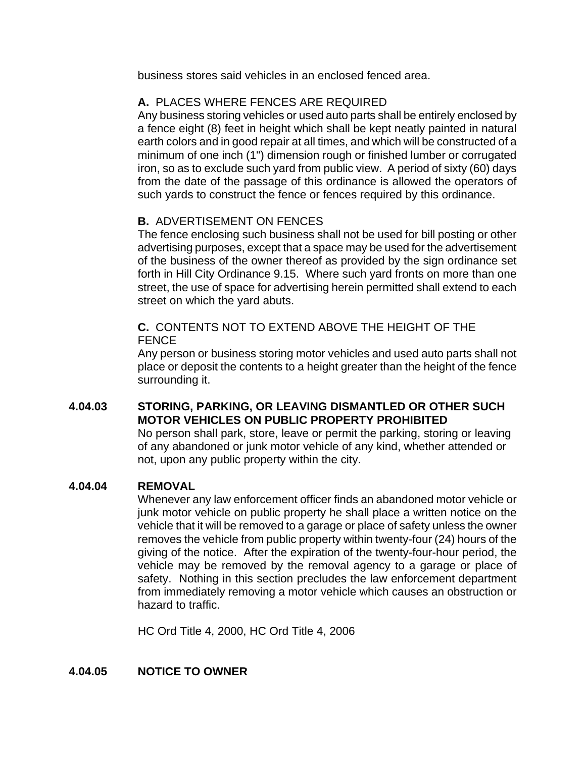business stores said vehicles in an enclosed fenced area.

# **A.** PLACES WHERE FENCES ARE REQUIRED

Any business storing vehicles or used auto parts shall be entirely enclosed by a fence eight (8) feet in height which shall be kept neatly painted in natural earth colors and in good repair at all times, and which will be constructed of a minimum of one inch (1") dimension rough or finished lumber or corrugated iron, so as to exclude such yard from public view. A period of sixty (60) days from the date of the passage of this ordinance is allowed the operators of such yards to construct the fence or fences required by this ordinance.

## **B.** ADVERTISEMENT ON FENCES

The fence enclosing such business shall not be used for bill posting or other advertising purposes, except that a space may be used for the advertisement of the business of the owner thereof as provided by the sign ordinance set forth in Hill City Ordinance 9.15. Where such yard fronts on more than one street, the use of space for advertising herein permitted shall extend to each street on which the yard abuts.

### **C.** CONTENTS NOT TO EXTEND ABOVE THE HEIGHT OF THE FENCE

Any person or business storing motor vehicles and used auto parts shall not place or deposit the contents to a height greater than the height of the fence surrounding it.

## **4.04.03 STORING, PARKING, OR LEAVING DISMANTLED OR OTHER SUCH MOTOR VEHICLES ON PUBLIC PROPERTY PROHIBITED**

No person shall park, store, leave or permit the parking, storing or leaving of any abandoned or junk motor vehicle of any kind, whether attended or not, upon any public property within the city.

#### **4.04.04 REMOVAL**

Whenever any law enforcement officer finds an abandoned motor vehicle or junk motor vehicle on public property he shall place a written notice on the vehicle that it will be removed to a garage or place of safety unless the owner removes the vehicle from public property within twenty-four (24) hours of the giving of the notice. After the expiration of the twenty-four-hour period, the vehicle may be removed by the removal agency to a garage or place of safety. Nothing in this section precludes the law enforcement department from immediately removing a motor vehicle which causes an obstruction or hazard to traffic.

HC Ord Title 4, 2000, HC Ord Title 4, 2006

## **4.04.05 NOTICE TO OWNER**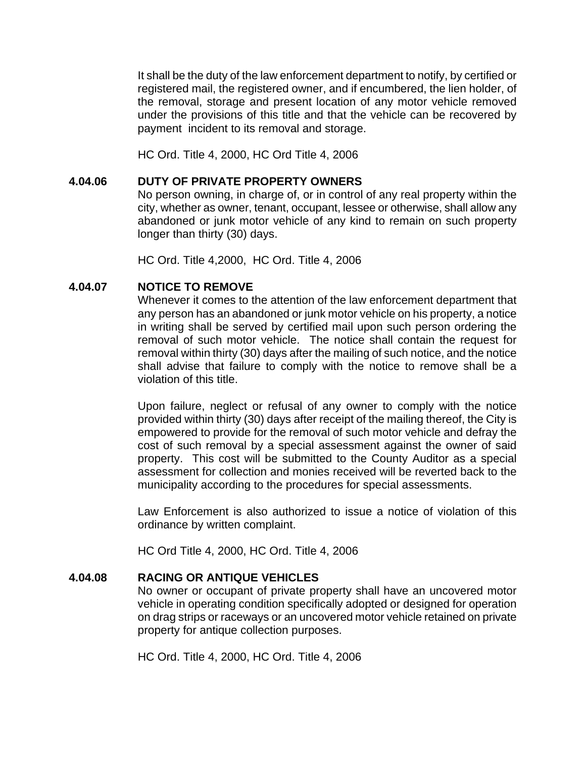It shall be the duty of the law enforcement department to notify, by certified or registered mail, the registered owner, and if encumbered, the lien holder, of the removal, storage and present location of any motor vehicle removed under the provisions of this title and that the vehicle can be recovered by payment incident to its removal and storage.

HC Ord. Title 4, 2000, HC Ord Title 4, 2006

#### **4.04.06 DUTY OF PRIVATE PROPERTY OWNERS**

No person owning, in charge of, or in control of any real property within the city, whether as owner, tenant, occupant, lessee or otherwise, shall allow any abandoned or junk motor vehicle of any kind to remain on such property longer than thirty (30) days.

HC Ord. Title 4,2000, HC Ord. Title 4, 2006

#### **4.04.07 NOTICE TO REMOVE**

Whenever it comes to the attention of the law enforcement department that any person has an abandoned or junk motor vehicle on his property, a notice in writing shall be served by certified mail upon such person ordering the removal of such motor vehicle. The notice shall contain the request for removal within thirty (30) days after the mailing of such notice, and the notice shall advise that failure to comply with the notice to remove shall be a violation of this title.

Upon failure, neglect or refusal of any owner to comply with the notice provided within thirty (30) days after receipt of the mailing thereof, the City is empowered to provide for the removal of such motor vehicle and defray the cost of such removal by a special assessment against the owner of said property. This cost will be submitted to the County Auditor as a special assessment for collection and monies received will be reverted back to the municipality according to the procedures for special assessments.

Law Enforcement is also authorized to issue a notice of violation of this ordinance by written complaint.

HC Ord Title 4, 2000, HC Ord. Title 4, 2006

#### **4.04.08 RACING OR ANTIQUE VEHICLES**

No owner or occupant of private property shall have an uncovered motor vehicle in operating condition specifically adopted or designed for operation on drag strips or raceways or an uncovered motor vehicle retained on private property for antique collection purposes.

HC Ord. Title 4, 2000, HC Ord. Title 4, 2006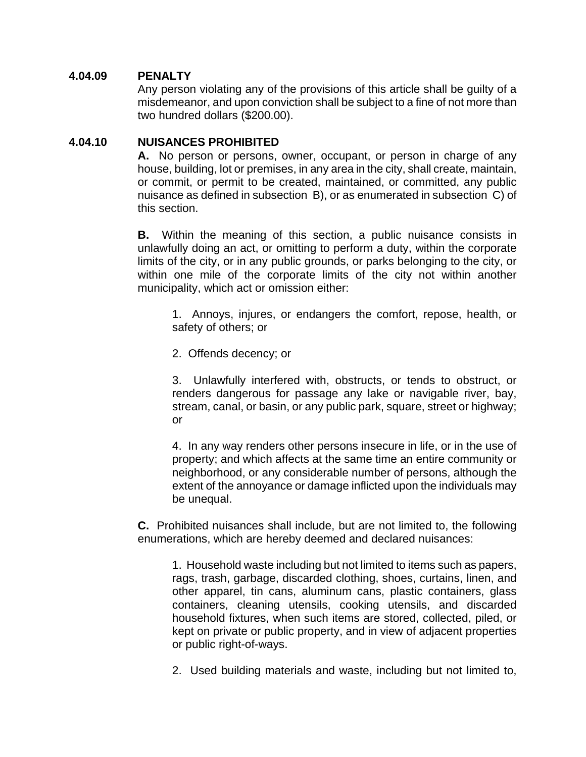#### **4.04.09 PENALTY**

 Any person violating any of the provisions of this article shall be guilty of a misdemeanor, and upon conviction shall be subject to a fine of not more than two hundred dollars (\$200.00).

#### **4.04.10 NUISANCES PROHIBITED**

**A.** No person or persons, owner, occupant, or person in charge of any house, building, lot or premises, in any area in the city, shall create, maintain, or commit, or permit to be created, maintained, or committed, any public nuisance as defined in subsection B), or as enumerated in subsection C) of this section.

**B.** Within the meaning of this section, a public nuisance consists in unlawfully doing an act, or omitting to perform a duty, within the corporate limits of the city, or in any public grounds, or parks belonging to the city, or within one mile of the corporate limits of the city not within another municipality, which act or omission either:

1. Annoys, injures, or endangers the comfort, repose, health, or safety of others; or

2. Offends decency; or

3. Unlawfully interfered with, obstructs, or tends to obstruct, or renders dangerous for passage any lake or navigable river, bay, stream, canal, or basin, or any public park, square, street or highway; or

4. In any way renders other persons insecure in life, or in the use of property; and which affects at the same time an entire community or neighborhood, or any considerable number of persons, although the extent of the annoyance or damage inflicted upon the individuals may be unequal.

**C.** Prohibited nuisances shall include, but are not limited to, the following enumerations, which are hereby deemed and declared nuisances:

1. Household waste including but not limited to items such as papers, rags, trash, garbage, discarded clothing, shoes, curtains, linen, and other apparel, tin cans, aluminum cans, plastic containers, glass containers, cleaning utensils, cooking utensils, and discarded household fixtures, when such items are stored, collected, piled, or kept on private or public property, and in view of adjacent properties or public right-of-ways.

2. Used building materials and waste, including but not limited to,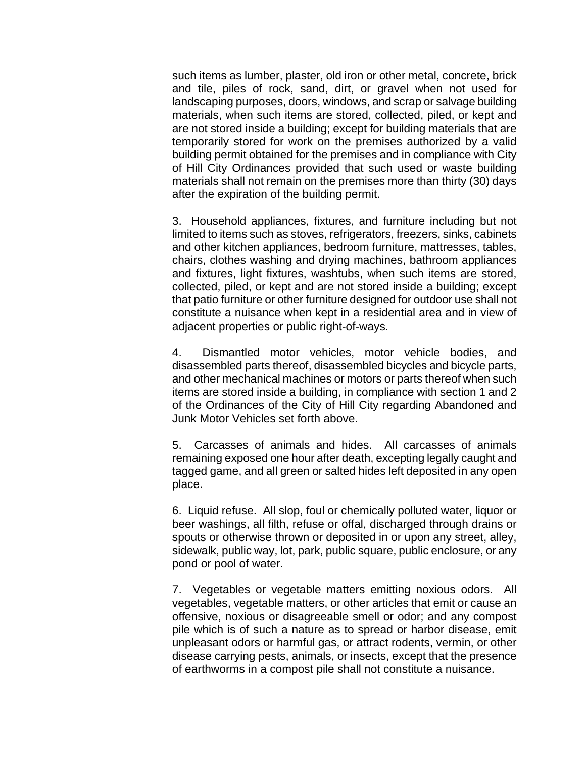such items as lumber, plaster, old iron or other metal, concrete, brick and tile, piles of rock, sand, dirt, or gravel when not used for landscaping purposes, doors, windows, and scrap or salvage building materials, when such items are stored, collected, piled, or kept and are not stored inside a building; except for building materials that are temporarily stored for work on the premises authorized by a valid building permit obtained for the premises and in compliance with City of Hill City Ordinances provided that such used or waste building materials shall not remain on the premises more than thirty (30) days after the expiration of the building permit.

3. Household appliances, fixtures, and furniture including but not limited to items such as stoves, refrigerators, freezers, sinks, cabinets and other kitchen appliances, bedroom furniture, mattresses, tables, chairs, clothes washing and drying machines, bathroom appliances and fixtures, light fixtures, washtubs, when such items are stored, collected, piled, or kept and are not stored inside a building; except that patio furniture or other furniture designed for outdoor use shall not constitute a nuisance when kept in a residential area and in view of adjacent properties or public right-of-ways.

4. Dismantled motor vehicles, motor vehicle bodies, and disassembled parts thereof, disassembled bicycles and bicycle parts, and other mechanical machines or motors or parts thereof when such items are stored inside a building, in compliance with section 1 and 2 of the Ordinances of the City of Hill City regarding Abandoned and Junk Motor Vehicles set forth above.

5. Carcasses of animals and hides. All carcasses of animals remaining exposed one hour after death, excepting legally caught and tagged game, and all green or salted hides left deposited in any open place.

6. Liquid refuse. All slop, foul or chemically polluted water, liquor or beer washings, all filth, refuse or offal, discharged through drains or spouts or otherwise thrown or deposited in or upon any street, alley, sidewalk, public way, lot, park, public square, public enclosure, or any pond or pool of water.

7. Vegetables or vegetable matters emitting noxious odors. All vegetables, vegetable matters, or other articles that emit or cause an offensive, noxious or disagreeable smell or odor; and any compost pile which is of such a nature as to spread or harbor disease, emit unpleasant odors or harmful gas, or attract rodents, vermin, or other disease carrying pests, animals, or insects, except that the presence of earthworms in a compost pile shall not constitute a nuisance.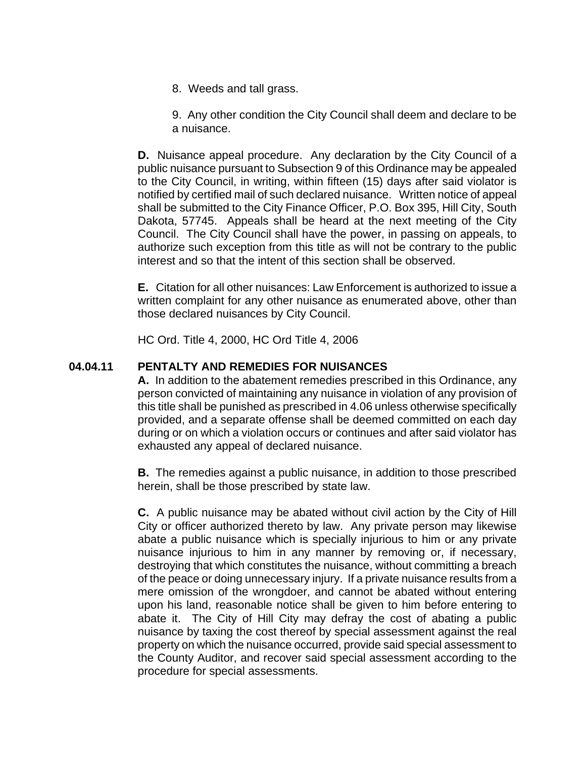8. Weeds and tall grass.

9. Any other condition the City Council shall deem and declare to be a nuisance.

**D.** Nuisance appeal procedure. Any declaration by the City Council of a public nuisance pursuant to Subsection 9 of this Ordinance may be appealed to the City Council, in writing, within fifteen (15) days after said violator is notified by certified mail of such declared nuisance. Written notice of appeal shall be submitted to the City Finance Officer, P.O. Box 395, Hill City, South Dakota, 57745. Appeals shall be heard at the next meeting of the City Council. The City Council shall have the power, in passing on appeals, to authorize such exception from this title as will not be contrary to the public interest and so that the intent of this section shall be observed.

**E.** Citation for all other nuisances: Law Enforcement is authorized to issue a written complaint for any other nuisance as enumerated above, other than those declared nuisances by City Council.

HC Ord. Title 4, 2000, HC Ord Title 4, 2006

#### **04.04.11 PENTALTY AND REMEDIES FOR NUISANCES**

**A.** In addition to the abatement remedies prescribed in this Ordinance, any person convicted of maintaining any nuisance in violation of any provision of this title shall be punished as prescribed in 4.06 unless otherwise specifically provided, and a separate offense shall be deemed committed on each day during or on which a violation occurs or continues and after said violator has exhausted any appeal of declared nuisance.

**B.** The remedies against a public nuisance, in addition to those prescribed herein, shall be those prescribed by state law.

**C.** A public nuisance may be abated without civil action by the City of Hill City or officer authorized thereto by law. Any private person may likewise abate a public nuisance which is specially injurious to him or any private nuisance injurious to him in any manner by removing or, if necessary, destroying that which constitutes the nuisance, without committing a breach of the peace or doing unnecessary injury. If a private nuisance results from a mere omission of the wrongdoer, and cannot be abated without entering upon his land, reasonable notice shall be given to him before entering to abate it. The City of Hill City may defray the cost of abating a public nuisance by taxing the cost thereof by special assessment against the real property on which the nuisance occurred, provide said special assessment to the County Auditor, and recover said special assessment according to the procedure for special assessments.